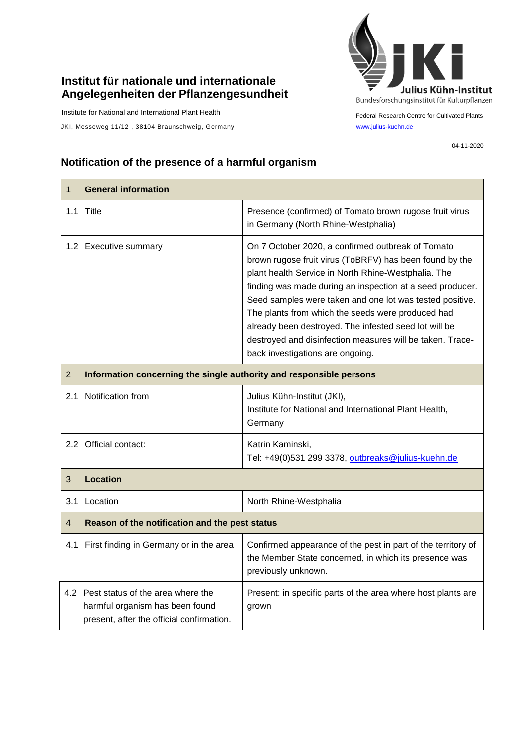## **Institut für nationale und internationale Angelegenheiten der Pflanzengesundheit**

Institute for National and International Plant Health

JKI, Messeweg 11/12, 38104 Braunschweig, Germany [www.julius-kuehn.de](http://www.julius-kuehn.de/)



Federal Research Centre for Cultivated Plants

04-11-2020

## **Notification of the presence of a harmful organism**

| $\mathbf{1}$   | <b>General information</b>                                                                                            |                                                                                                                                                                                                                                                                                                                                                                                                                                                                                                             |  |
|----------------|-----------------------------------------------------------------------------------------------------------------------|-------------------------------------------------------------------------------------------------------------------------------------------------------------------------------------------------------------------------------------------------------------------------------------------------------------------------------------------------------------------------------------------------------------------------------------------------------------------------------------------------------------|--|
|                | 1.1 Title                                                                                                             | Presence (confirmed) of Tomato brown rugose fruit virus<br>in Germany (North Rhine-Westphalia)                                                                                                                                                                                                                                                                                                                                                                                                              |  |
|                | 1.2 Executive summary                                                                                                 | On 7 October 2020, a confirmed outbreak of Tomato<br>brown rugose fruit virus (ToBRFV) has been found by the<br>plant health Service in North Rhine-Westphalia. The<br>finding was made during an inspection at a seed producer.<br>Seed samples were taken and one lot was tested positive.<br>The plants from which the seeds were produced had<br>already been destroyed. The infested seed lot will be<br>destroyed and disinfection measures will be taken. Trace-<br>back investigations are ongoing. |  |
| $\overline{2}$ | Information concerning the single authority and responsible persons                                                   |                                                                                                                                                                                                                                                                                                                                                                                                                                                                                                             |  |
| 2.1            | Notification from                                                                                                     | Julius Kühn-Institut (JKI),<br>Institute for National and International Plant Health,<br>Germany                                                                                                                                                                                                                                                                                                                                                                                                            |  |
|                | 2.2 Official contact:                                                                                                 | Katrin Kaminski,<br>Tel: +49(0)531 299 3378, outbreaks@julius-kuehn.de                                                                                                                                                                                                                                                                                                                                                                                                                                      |  |
| 3              | Location                                                                                                              |                                                                                                                                                                                                                                                                                                                                                                                                                                                                                                             |  |
|                | 3.1 Location                                                                                                          | North Rhine-Westphalia                                                                                                                                                                                                                                                                                                                                                                                                                                                                                      |  |
| 4              | Reason of the notification and the pest status                                                                        |                                                                                                                                                                                                                                                                                                                                                                                                                                                                                                             |  |
|                | 4.1 First finding in Germany or in the area                                                                           | Confirmed appearance of the pest in part of the territory of<br>the Member State concerned, in which its presence was<br>previously unknown.                                                                                                                                                                                                                                                                                                                                                                |  |
|                | 4.2 Pest status of the area where the<br>harmful organism has been found<br>present, after the official confirmation. | Present: in specific parts of the area where host plants are<br>grown                                                                                                                                                                                                                                                                                                                                                                                                                                       |  |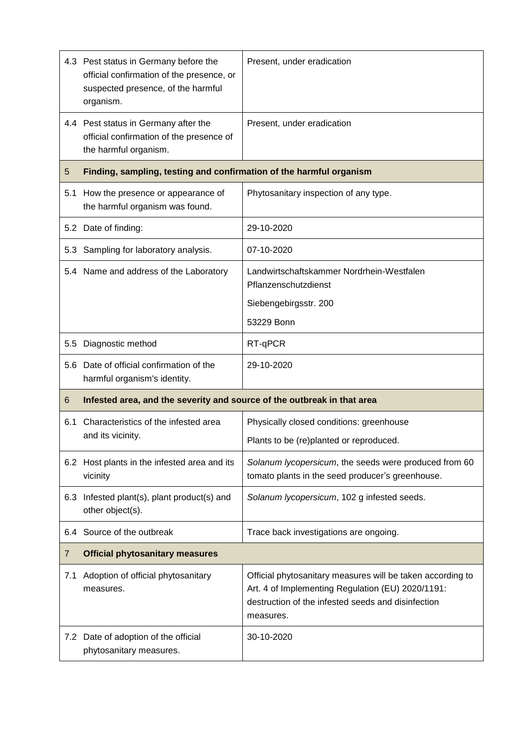|     | 4.3 Pest status in Germany before the<br>official confirmation of the presence, or<br>suspected presence, of the harmful<br>organism. | Present, under eradication                                                                                                                                                         |
|-----|---------------------------------------------------------------------------------------------------------------------------------------|------------------------------------------------------------------------------------------------------------------------------------------------------------------------------------|
|     | 4.4 Pest status in Germany after the<br>official confirmation of the presence of<br>the harmful organism.                             | Present, under eradication                                                                                                                                                         |
| 5   | Finding, sampling, testing and confirmation of the harmful organism                                                                   |                                                                                                                                                                                    |
| 5.1 | How the presence or appearance of<br>the harmful organism was found.                                                                  | Phytosanitary inspection of any type.                                                                                                                                              |
|     | 5.2 Date of finding:                                                                                                                  | 29-10-2020                                                                                                                                                                         |
| 5.3 | Sampling for laboratory analysis.                                                                                                     | 07-10-2020                                                                                                                                                                         |
|     | 5.4 Name and address of the Laboratory                                                                                                | Landwirtschaftskammer Nordrhein-Westfalen<br>Pflanzenschutzdienst                                                                                                                  |
|     |                                                                                                                                       | Siebengebirgsstr. 200                                                                                                                                                              |
|     |                                                                                                                                       | 53229 Bonn                                                                                                                                                                         |
| 5.5 | Diagnostic method                                                                                                                     | RT-qPCR                                                                                                                                                                            |
|     | 5.6 Date of official confirmation of the<br>harmful organism's identity.                                                              | 29-10-2020                                                                                                                                                                         |
| 6   | Infested area, and the severity and source of the outbreak in that area                                                               |                                                                                                                                                                                    |
| 6.1 | Characteristics of the infested area<br>and its vicinity.                                                                             | Physically closed conditions: greenhouse                                                                                                                                           |
|     |                                                                                                                                       | Plants to be (re)planted or reproduced.                                                                                                                                            |
|     | 6.2 Host plants in the infested area and its<br>vicinity                                                                              | Solanum lycopersicum, the seeds were produced from 60<br>tomato plants in the seed producer's greenhouse.                                                                          |
| 6.3 | Infested plant(s), plant product(s) and<br>other object(s).                                                                           | Solanum lycopersicum, 102 g infested seeds.                                                                                                                                        |
| 6.4 | Source of the outbreak                                                                                                                | Trace back investigations are ongoing.                                                                                                                                             |
| 7   | <b>Official phytosanitary measures</b>                                                                                                |                                                                                                                                                                                    |
| 7.1 | Adoption of official phytosanitary<br>measures.                                                                                       | Official phytosanitary measures will be taken according to<br>Art. 4 of Implementing Regulation (EU) 2020/1191:<br>destruction of the infested seeds and disinfection<br>measures. |
|     | 7.2 Date of adoption of the official<br>phytosanitary measures.                                                                       | 30-10-2020                                                                                                                                                                         |